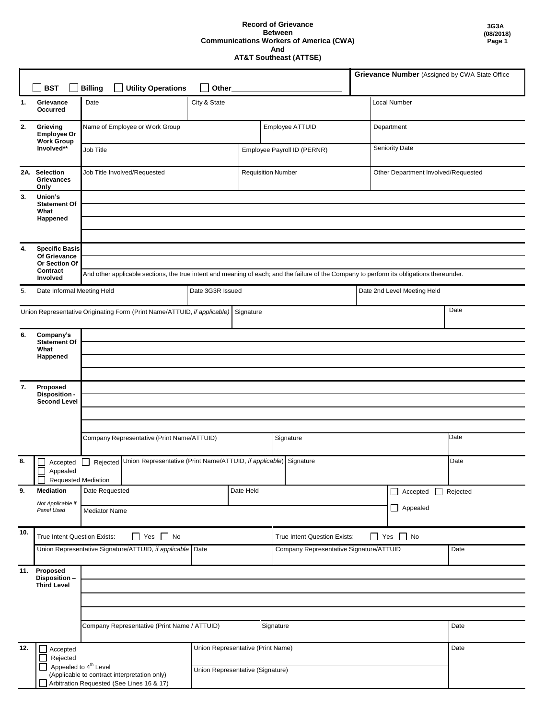## **Record of Grievance Between Communications Workers of America (CWA) And AT&T Southeast (ATTSE)**

|     |                                                                          |                                                                                                                                           |                                   |                           |                                                      |                |                                     | Grievance Number (Assigned by CWA State Office |  |
|-----|--------------------------------------------------------------------------|-------------------------------------------------------------------------------------------------------------------------------------------|-----------------------------------|---------------------------|------------------------------------------------------|----------------|-------------------------------------|------------------------------------------------|--|
|     | <b>BST</b>                                                               | <b>Utility Operations</b><br><b>Billing</b>                                                                                               |                                   | Other                     |                                                      |                |                                     |                                                |  |
| 1.  | Grievance<br>Occurred                                                    | Date                                                                                                                                      | City & State                      |                           |                                                      |                | Local Number                        |                                                |  |
| 2.  | Grieving<br>Employee Or<br><b>Work Group</b>                             | Name of Employee or Work Group                                                                                                            |                                   |                           | Employee ATTUID<br>Department                        |                |                                     |                                                |  |
|     | Involved**                                                               | Job Title                                                                                                                                 | Employee Payroll ID (PERNR)       |                           |                                                      | Seniority Date |                                     |                                                |  |
|     | 2A. Selection<br><b>Grievances</b><br>Only                               | Job Title Involved/Requested                                                                                                              |                                   | <b>Requisition Number</b> |                                                      |                | Other Department Involved/Requested |                                                |  |
| 3.  | Union's<br><b>Statement Of</b><br>What                                   |                                                                                                                                           |                                   |                           |                                                      |                |                                     |                                                |  |
|     | Happened                                                                 |                                                                                                                                           |                                   |                           |                                                      |                |                                     |                                                |  |
|     |                                                                          |                                                                                                                                           |                                   |                           |                                                      |                |                                     |                                                |  |
| 4.  | <b>Specific Basis</b><br>Of Grievance                                    |                                                                                                                                           |                                   |                           |                                                      |                |                                     |                                                |  |
|     | Or Section Of                                                            |                                                                                                                                           |                                   |                           |                                                      |                |                                     |                                                |  |
|     | Contract<br>Involved                                                     | And other applicable sections, the true intent and meaning of each; and the failure of the Company to perform its obligations thereunder. |                                   |                           |                                                      |                |                                     |                                                |  |
| 5.  | Date Informal Meeting Held                                               |                                                                                                                                           | Date 3G3R Issued                  |                           |                                                      |                | Date 2nd Level Meeting Held         |                                                |  |
|     | Union Representative Originating Form (Print Name/ATTUID, if applicable) |                                                                                                                                           | Signature                         |                           |                                                      |                | Date                                |                                                |  |
| 6.  | Company's<br><b>Statement Of</b>                                         |                                                                                                                                           |                                   |                           |                                                      |                |                                     |                                                |  |
|     | What                                                                     |                                                                                                                                           |                                   |                           |                                                      |                |                                     |                                                |  |
|     | Happened                                                                 |                                                                                                                                           |                                   |                           |                                                      |                |                                     |                                                |  |
|     |                                                                          |                                                                                                                                           |                                   |                           |                                                      |                |                                     |                                                |  |
| 7.  | Proposed<br>Disposition -                                                |                                                                                                                                           |                                   |                           |                                                      |                |                                     |                                                |  |
|     | <b>Second Level</b>                                                      |                                                                                                                                           |                                   |                           |                                                      |                |                                     |                                                |  |
|     |                                                                          |                                                                                                                                           |                                   |                           |                                                      |                |                                     |                                                |  |
|     |                                                                          |                                                                                                                                           |                                   |                           |                                                      |                |                                     |                                                |  |
|     |                                                                          | Company Representative (Print Name/ATTUID)                                                                                                |                                   |                           | Signature                                            |                |                                     | Date                                           |  |
| 8.  | Accepted                                                                 | Rejected Union Representative (Print Name/ATTUID, if applicable)                                                                          |                                   |                           | Signature                                            |                |                                     | Date                                           |  |
|     | Appealed<br><b>Requested Mediation</b>                                   |                                                                                                                                           |                                   |                           |                                                      |                |                                     |                                                |  |
| 9.  | <b>Mediation</b>                                                         | Date Requested                                                                                                                            |                                   | Date Held                 |                                                      |                | Accepted<br>Rejected<br>$\Box$      |                                                |  |
|     | Not Applicable if<br>Panel Used                                          | <b>Mediator Name</b>                                                                                                                      |                                   |                           |                                                      |                | $\Box$ Appealed                     |                                                |  |
|     |                                                                          |                                                                                                                                           |                                   |                           |                                                      |                |                                     |                                                |  |
| 10. | True Intent Question Exists:                                             | $\Box$ Yes $\Box$ No                                                                                                                      |                                   |                           | $\Box$ Yes $\Box$ No<br>True Intent Question Exists: |                |                                     |                                                |  |
|     |                                                                          | Union Representative Signature/ATTUID, if applicable Date                                                                                 |                                   |                           | Company Representative Signature/ATTUID              |                |                                     | Date                                           |  |
|     | 11. Proposed                                                             |                                                                                                                                           |                                   |                           |                                                      |                |                                     |                                                |  |
|     | Disposition-<br><b>Third Level</b>                                       |                                                                                                                                           |                                   |                           |                                                      |                |                                     |                                                |  |
|     |                                                                          |                                                                                                                                           |                                   |                           |                                                      |                |                                     |                                                |  |
|     |                                                                          |                                                                                                                                           |                                   |                           |                                                      |                |                                     |                                                |  |
|     | Company Representative (Print Name / ATTUID)                             |                                                                                                                                           |                                   |                           | Signature                                            |                | Date                                |                                                |  |
|     |                                                                          |                                                                                                                                           |                                   |                           |                                                      |                |                                     |                                                |  |
| 12. | Accepted                                                                 |                                                                                                                                           | Union Representative (Print Name) |                           |                                                      |                |                                     | Date                                           |  |
|     | Rejected<br>Appealed to 4 <sup>th</sup> Level                            |                                                                                                                                           |                                   |                           |                                                      |                |                                     |                                                |  |
|     |                                                                          | Union Representative (Signature)<br>(Applicable to contract interpretation only)                                                          |                                   |                           |                                                      |                |                                     |                                                |  |
|     |                                                                          | Arbitration Requested (See Lines 16 & 17)                                                                                                 |                                   |                           |                                                      |                |                                     |                                                |  |